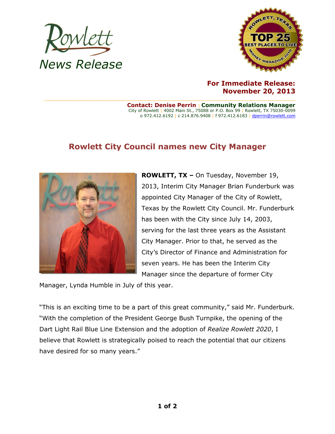



## **For Immediate Release: November 20, 2013**

**Contact: Denise Perrin** | **Community Relations Manager** City of Rowlett | 4002 Main St., 75088 or P.O. Box 99 | Rowlett, TX 75030-0099 o 972.412.6192 | c 214.876.9408 | f 972.412.6183 [| dperrin@rowlett.com](mailto:dperrin@rowlett.com)

## **Rowlett City Council names new City Manager**



**ROWLETT, TX –** On Tuesday, November 19, 2013, Interim City Manager Brian Funderburk was appointed City Manager of the City of Rowlett, Texas by the Rowlett City Council. Mr. Funderburk has been with the City since July 14, 2003, serving for the last three years as the Assistant City Manager. Prior to that, he served as the City's Director of Finance and Administration for seven years. He has been the Interim City Manager since the departure of former City

Manager, Lynda Humble in July of this year.

"This is an exciting time to be a part of this great community," said Mr. Funderburk. "With the completion of the President George Bush Turnpike, the opening of the Dart Light Rail Blue Line Extension and the adoption of *Realize Rowlett 2020*, I believe that Rowlett is strategically poised to reach the potential that our citizens have desired for so many years."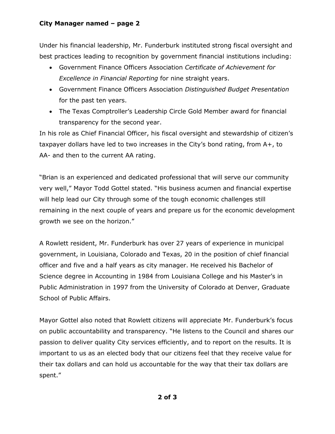## **City Manager named – page 2**

Under his financial leadership, Mr. Funderburk instituted strong fiscal oversight and best practices leading to recognition by government financial institutions including:

- Government Finance Officers Association *Certificate of Achievement for Excellence in Financial Reporting* for nine straight years.
- Government Finance Officers Association *Distinguished Budget Presentation* for the past ten years.
- The Texas Comptroller's Leadership Circle Gold Member award for financial transparency for the second year.

In his role as Chief Financial Officer, his fiscal oversight and stewardship of citizen's taxpayer dollars have led to two increases in the City's bond rating, from A+, to AA- and then to the current AA rating.

"Brian is an experienced and dedicated professional that will serve our community very well," Mayor Todd Gottel stated. "His business acumen and financial expertise will help lead our City through some of the tough economic challenges still remaining in the next couple of years and prepare us for the economic development growth we see on the horizon."

A Rowlett resident, Mr. Funderburk has over 27 years of experience in municipal government, in Louisiana, Colorado and Texas, 20 in the position of chief financial officer and five and a half years as city manager. He received his Bachelor of Science degree in Accounting in 1984 from Louisiana College and his Master's in Public Administration in 1997 from the University of Colorado at Denver, Graduate School of Public Affairs.

Mayor Gottel also noted that Rowlett citizens will appreciate Mr. Funderburk's focus on public accountability and transparency. "He listens to the Council and shares our passion to deliver quality City services efficiently, and to report on the results. It is important to us as an elected body that our citizens feel that they receive value for their tax dollars and can hold us accountable for the way that their tax dollars are spent."